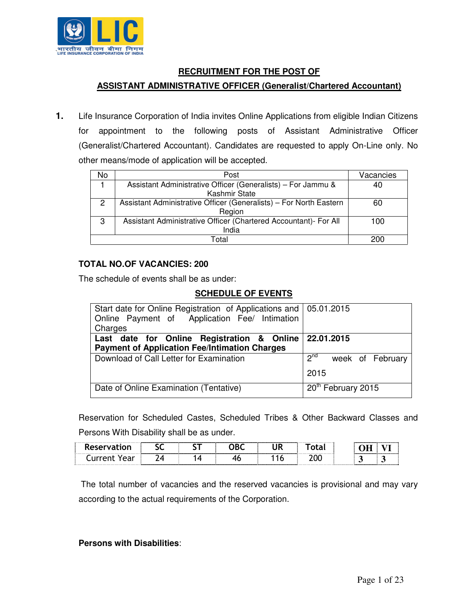

#### **RECRUITMENT FOR THE POST OF**

#### **ASSISTANT ADMINISTRATIVE OFFICER (Generalist/Chartered Accountant)**

**1.** Life Insurance Corporation of India invites Online Applications from eligible Indian Citizens for appointment to the following posts of Assistant Administrative Officer (Generalist/Chartered Accountant). Candidates are requested to apply On-Line only. No other means/mode of application will be accepted.

| No | Post                                                               | Vacancies |  |  |
|----|--------------------------------------------------------------------|-----------|--|--|
|    | Assistant Administrative Officer (Generalists) – For Jammu &       | 40        |  |  |
|    | Kashmir State                                                      |           |  |  |
| 2  | Assistant Administrative Officer (Generalists) - For North Eastern | 60        |  |  |
|    | Region                                                             |           |  |  |
| 3  | Assistant Administrative Officer (Chartered Accountant)- For All   | 100       |  |  |
|    | India                                                              |           |  |  |
|    | Total                                                              |           |  |  |

#### **TOTAL NO.OF VACANCIES: 200**

The schedule of events shall be as under:

## **SCHEDULE OF EVENTS**

| Start date for Online Registration of Applications and   05.01.2015<br>Online Payment of Application Fee/ Intimation<br>Charges |                                      |
|---------------------------------------------------------------------------------------------------------------------------------|--------------------------------------|
| Last date for Online Registration & Online 22.01.2015<br><b>Payment of Application Fee/Intimation Charges</b>                   |                                      |
| Download of Call Letter for Examination                                                                                         | $2^{nd}$<br>week of February<br>2015 |
| Date of Online Examination (Tentative)                                                                                          | 20 <sup>th</sup> February 2015       |

Reservation for Scheduled Castes, Scheduled Tribes & Other Backward Classes and Persons With Disability shall be as under.

| Reserval | -- |  |   | . |  |
|----------|----|--|---|---|--|
|          |    |  | . |   |  |

 The total number of vacancies and the reserved vacancies is provisional and may vary according to the actual requirements of the Corporation.

**Persons with Disabilities**: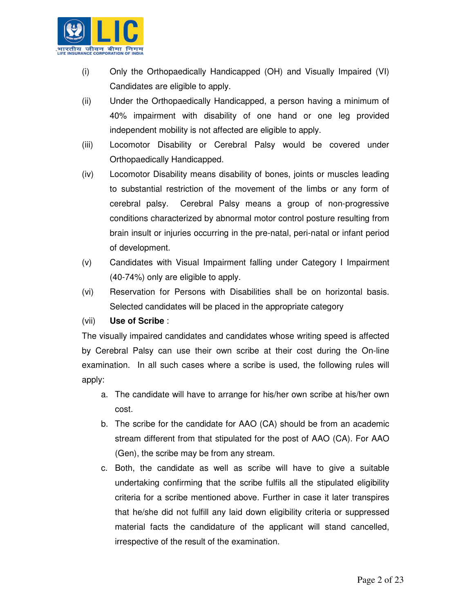

- (i) Only the Orthopaedically Handicapped (OH) and Visually Impaired (VI) Candidates are eligible to apply.
- (ii) Under the Orthopaedically Handicapped, a person having a minimum of 40% impairment with disability of one hand or one leg provided independent mobility is not affected are eligible to apply.
- (iii) Locomotor Disability or Cerebral Palsy would be covered under Orthopaedically Handicapped.
- (iv) Locomotor Disability means disability of bones, joints or muscles leading to substantial restriction of the movement of the limbs or any form of cerebral palsy. Cerebral Palsy means a group of non-progressive conditions characterized by abnormal motor control posture resulting from brain insult or injuries occurring in the pre-natal, peri-natal or infant period of development.
- (v) Candidates with Visual Impairment falling under Category I Impairment (40-74%) only are eligible to apply.
- (vi) Reservation for Persons with Disabilities shall be on horizontal basis. Selected candidates will be placed in the appropriate category

#### (vii) **Use of Scribe** :

The visually impaired candidates and candidates whose writing speed is affected by Cerebral Palsy can use their own scribe at their cost during the On-line examination. In all such cases where a scribe is used, the following rules will apply:

- a. The candidate will have to arrange for his/her own scribe at his/her own cost.
- b. The scribe for the candidate for AAO (CA) should be from an academic stream different from that stipulated for the post of AAO (CA). For AAO (Gen), the scribe may be from any stream.
- c. Both, the candidate as well as scribe will have to give a suitable undertaking confirming that the scribe fulfils all the stipulated eligibility criteria for a scribe mentioned above. Further in case it later transpires that he/she did not fulfill any laid down eligibility criteria or suppressed material facts the candidature of the applicant will stand cancelled, irrespective of the result of the examination.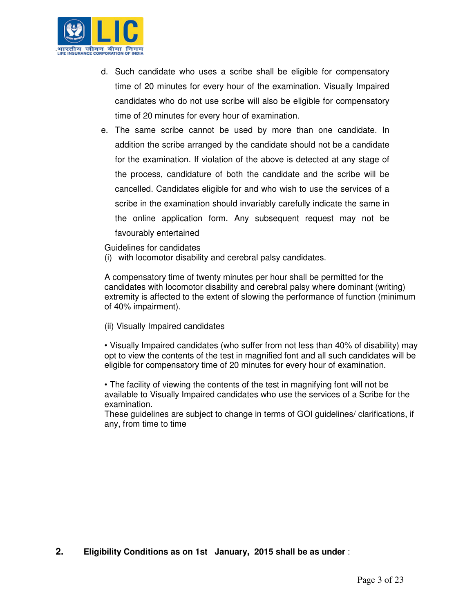

- d. Such candidate who uses a scribe shall be eligible for compensatory time of 20 minutes for every hour of the examination. Visually Impaired candidates who do not use scribe will also be eligible for compensatory time of 20 minutes for every hour of examination.
- e. The same scribe cannot be used by more than one candidate. In addition the scribe arranged by the candidate should not be a candidate for the examination. If violation of the above is detected at any stage of the process, candidature of both the candidate and the scribe will be cancelled. Candidates eligible for and who wish to use the services of a scribe in the examination should invariably carefully indicate the same in the online application form. Any subsequent request may not be favourably entertained

Guidelines for candidates

(i) with locomotor disability and cerebral palsy candidates.

A compensatory time of twenty minutes per hour shall be permitted for the candidates with locomotor disability and cerebral palsy where dominant (writing) extremity is affected to the extent of slowing the performance of function (minimum of 40% impairment).

(ii) Visually Impaired candidates

• Visually Impaired candidates (who suffer from not less than 40% of disability) may opt to view the contents of the test in magnified font and all such candidates will be eligible for compensatory time of 20 minutes for every hour of examination.

• The facility of viewing the contents of the test in magnifying font will not be available to Visually Impaired candidates who use the services of a Scribe for the examination.

These guidelines are subject to change in terms of GOI guidelines/ clarifications, if any, from time to time

**2. Eligibility Conditions as on 1st January, 2015 shall be as under** :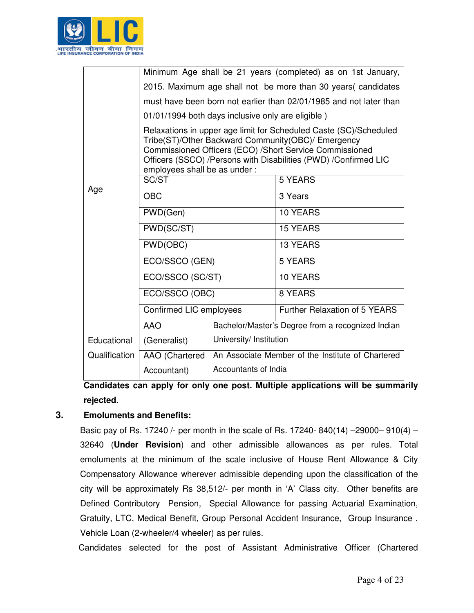

|               |                                                                    |                         | Minimum Age shall be 21 years (completed) as on 1st January,                                                                                                                                                                                          |  |  |
|---------------|--------------------------------------------------------------------|-------------------------|-------------------------------------------------------------------------------------------------------------------------------------------------------------------------------------------------------------------------------------------------------|--|--|
|               | 2015. Maximum age shall not be more than 30 years (candidates      |                         |                                                                                                                                                                                                                                                       |  |  |
|               | must have been born not earlier than 02/01/1985 and not later than |                         |                                                                                                                                                                                                                                                       |  |  |
|               | 01/01/1994 both days inclusive only are eligible)                  |                         |                                                                                                                                                                                                                                                       |  |  |
|               | employees shall be as under :                                      |                         | Relaxations in upper age limit for Scheduled Caste (SC)/Scheduled<br>Tribe(ST)/Other Backward Community(OBC)/ Emergency<br>Commissioned Officers (ECO) /Short Service Commissioned<br>Officers (SSCO) /Persons with Disabilities (PWD) /Confirmed LIC |  |  |
|               | SC/ST                                                              |                         | <b>5 YEARS</b>                                                                                                                                                                                                                                        |  |  |
| Age           | <b>OBC</b>                                                         |                         | 3 Years                                                                                                                                                                                                                                               |  |  |
|               | PWD(Gen)                                                           |                         | 10 YEARS                                                                                                                                                                                                                                              |  |  |
|               | PWD(SC/ST)                                                         |                         | <b>15 YEARS</b>                                                                                                                                                                                                                                       |  |  |
|               | PWD(OBC)                                                           |                         | <b>13 YEARS</b>                                                                                                                                                                                                                                       |  |  |
|               | ECO/SSCO (GEN)                                                     |                         | 5 YEARS                                                                                                                                                                                                                                               |  |  |
|               | ECO/SSCO (SC/ST)                                                   |                         | <b>10 YEARS</b>                                                                                                                                                                                                                                       |  |  |
|               | ECO/SSCO (OBC)                                                     |                         | 8 YEARS                                                                                                                                                                                                                                               |  |  |
|               | Confirmed LIC employees                                            |                         | Further Relaxation of 5 YEARS                                                                                                                                                                                                                         |  |  |
|               | <b>AAO</b>                                                         |                         | Bachelor/Master's Degree from a recognized Indian                                                                                                                                                                                                     |  |  |
| Educational   | (Generalist)                                                       | University/ Institution |                                                                                                                                                                                                                                                       |  |  |
| Qualification | AAO (Chartered                                                     |                         | An Associate Member of the Institute of Chartered                                                                                                                                                                                                     |  |  |
|               | Accountant)                                                        | Accountants of India    |                                                                                                                                                                                                                                                       |  |  |

**Candidates can apply for only one post. Multiple applications will be summarily rejected.** 

## **3. Emoluments and Benefits:**

Basic pay of Rs. 17240 /- per month in the scale of Rs. 17240- 840(14) –29000– 910(4) – 32640 (**Under Revision**) and other admissible allowances as per rules. Total emoluments at the minimum of the scale inclusive of House Rent Allowance & City Compensatory Allowance wherever admissible depending upon the classification of the city will be approximately Rs 38,512/- per month in 'A' Class city. Other benefits are Defined Contributory Pension, Special Allowance for passing Actuarial Examination, Gratuity, LTC, Medical Benefit, Group Personal Accident Insurance, Group Insurance , Vehicle Loan (2-wheeler/4 wheeler) as per rules.

Candidates selected for the post of Assistant Administrative Officer (Chartered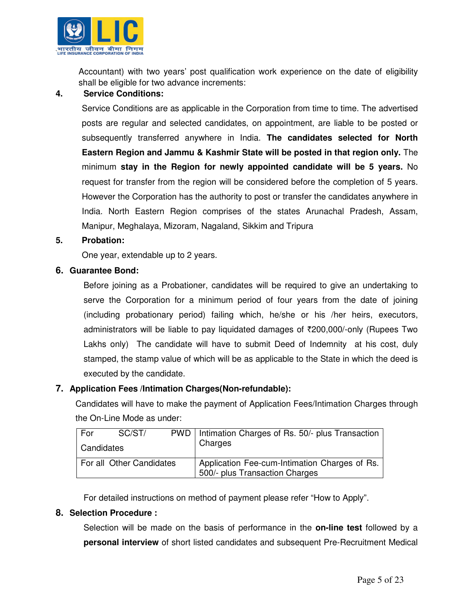

Accountant) with two years' post qualification work experience on the date of eligibility shall be eligible for two advance increments:

#### **4. Service Conditions:**

Service Conditions are as applicable in the Corporation from time to time. The advertised posts are regular and selected candidates, on appointment, are liable to be posted or subsequently transferred anywhere in India. **The candidates selected for North Eastern Region and Jammu & Kashmir State will be posted in that region only.** The minimum **stay in the Region for newly appointed candidate will be 5 years.** No request for transfer from the region will be considered before the completion of 5 years. However the Corporation has the authority to post or transfer the candidates anywhere in India. North Eastern Region comprises of the states Arunachal Pradesh, Assam, Manipur, Meghalaya, Mizoram, Nagaland, Sikkim and Tripura

#### **5. Probation:**

One year, extendable up to 2 years.

#### **6. Guarantee Bond:**

Before joining as a Probationer, candidates will be required to give an undertaking to serve the Corporation for a minimum period of four years from the date of joining (including probationary period) failing which, he/she or his /her heirs, executors, administrators will be liable to pay liquidated damages of  $\overline{2}200,000/-$ only (Rupees Two Lakhs only) The candidate will have to submit Deed of Indemnity at his cost, duly stamped, the stamp value of which will be as applicable to the State in which the deed is executed by the candidate.

#### **7. Application Fees /Intimation Charges(Non-refundable):**

Candidates will have to make the payment of Application Fees/Intimation Charges through the On-Line Mode as under:

| For                      | SC/ST/ | PWD   Intimation Charges of Rs. 50/- plus Transaction                           |
|--------------------------|--------|---------------------------------------------------------------------------------|
| Candidates               |        | Charges                                                                         |
| For all Other Candidates |        | Application Fee-cum-Intimation Charges of Rs.<br>500/- plus Transaction Charges |

For detailed instructions on method of payment please refer "How to Apply".

#### **8. Selection Procedure :**

Selection will be made on the basis of performance in the **on-line test** followed by a **personal interview** of short listed candidates and subsequent Pre-Recruitment Medical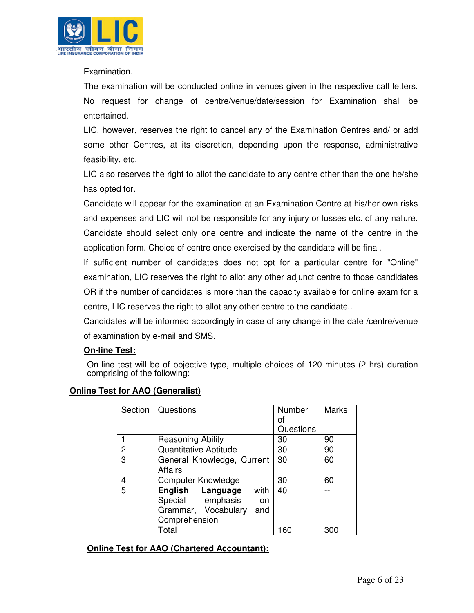

Examination.

The examination will be conducted online in venues given in the respective call letters. No request for change of centre/venue/date/session for Examination shall be entertained.

LIC, however, reserves the right to cancel any of the Examination Centres and/ or add some other Centres, at its discretion, depending upon the response, administrative feasibility, etc.

LIC also reserves the right to allot the candidate to any centre other than the one he/she has opted for.

Candidate will appear for the examination at an Examination Centre at his/her own risks and expenses and LIC will not be responsible for any injury or losses etc. of any nature. Candidate should select only one centre and indicate the name of the centre in the application form. Choice of centre once exercised by the candidate will be final.

If sufficient number of candidates does not opt for a particular centre for "Online" examination, LIC reserves the right to allot any other adjunct centre to those candidates OR if the number of candidates is more than the capacity available for online exam for a centre, LIC reserves the right to allot any other centre to the candidate..

Candidates will be informed accordingly in case of any change in the date /centre/venue of examination by e-mail and SMS.

## **On-line Test:**

On-line test will be of objective type, multiple choices of 120 minutes (2 hrs) duration comprising of the following:

|                | st for AAO (Generalist)                                                                           |                                  |              |
|----------------|---------------------------------------------------------------------------------------------------|----------------------------------|--------------|
| Section        | Questions                                                                                         | <b>Number</b><br>οf<br>Questions | <b>Marks</b> |
|                | Reasoning Ability                                                                                 | 30                               | 90           |
| $\overline{c}$ | <b>Quantitative Aptitude</b>                                                                      | 30                               | 90           |
| 3              | General Knowledge, Current<br>Affairs                                                             | 30                               | 60           |
| 4              | <b>Computer Knowledge</b>                                                                         | 30                               | 60           |
| 5              | with<br>English Language<br>Special emphasis<br>on<br>Grammar, Vocabulary<br>and<br>Comprehension | 40                               |              |
|                | Total                                                                                             | 160                              | 300          |

# **Online Test**

## **Online Test for AAO (Chartered Accountant):**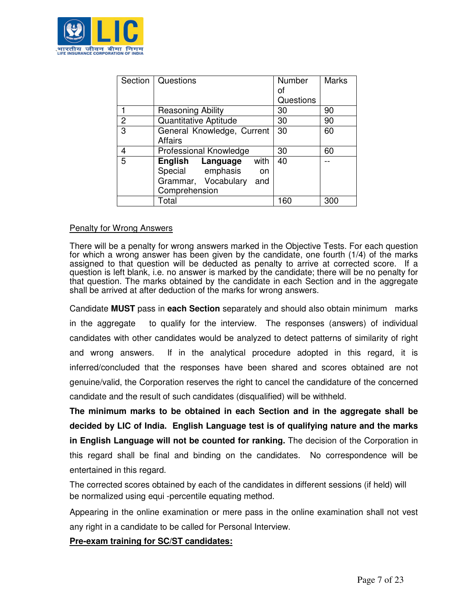

|                | Section   Questions          | <b>Number</b> | <b>Marks</b> |
|----------------|------------------------------|---------------|--------------|
|                |                              | Ωf            |              |
|                |                              | Questions     |              |
|                | Reasoning Ability            | 30            | 90           |
| $\overline{2}$ | <b>Quantitative Aptitude</b> | 30            | 90           |
| 3              | General Knowledge, Current   | 30            | 60           |
|                | <b>Affairs</b>               |               |              |
| 4              | Professional Knowledge       | 30            | 60           |
| 5              | with<br>English Language     | 40            |              |
|                | Special emphasis<br>on       |               |              |
|                | Grammar, Vocabulary<br>and   |               |              |
|                | Comprehension                |               |              |
|                | Total                        | 160           | 300          |

#### Penalty for Wrong Answers

There will be a penalty for wrong answers marked in the Objective Tests. For each question for which a wrong answer has been given by the candidate, one fourth (1/4) of the marks assigned to that question will be deducted as penalty to arrive at corrected score. If a question is left blank, i.e. no answer is marked by the candidate; there will be no penalty for that question. The marks obtained by the candidate in each Section and in the aggregate shall be arrived at after deduction of the marks for wrong answers.

Candidate **MUST** pass in **each Section** separately and should also obtain minimum marks in the aggregate to qualify for the interview. The responses (answers) of individual candidates with other candidates would be analyzed to detect patterns of similarity of right and wrong answers. If in the analytical procedure adopted in this regard, it is inferred/concluded that the responses have been shared and scores obtained are not genuine/valid, the Corporation reserves the right to cancel the candidature of the concerned candidate and the result of such candidates (disqualified) will be withheld.

**The minimum marks to be obtained in each Section and in the aggregate shall be decided by LIC of India. English Language test is of qualifying nature and the marks in English Language will not be counted for ranking.** The decision of the Corporation in this regard shall be final and binding on the candidates. No correspondence will be entertained in this regard.

The corrected scores obtained by each of the candidates in different sessions (if held) will be normalized using equi -percentile equating method.

Appearing in the online examination or mere pass in the online examination shall not vest any right in a candidate to be called for Personal Interview.

#### **Pre-exam training for SC/ST candidates:**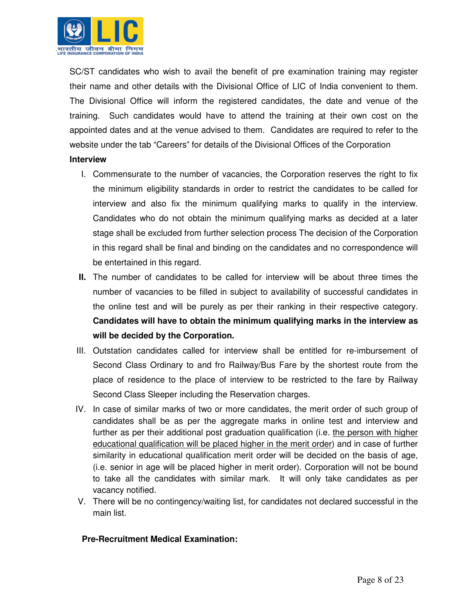

SC/ST candidates who wish to avail the benefit of pre examination training may register their name and other details with the Divisional Office of LIC of India convenient to them. The Divisional Office will inform the registered candidates, the date and venue of the training. Such candidates would have to attend the training at their own cost on the appointed dates and at the venue advised to them. Candidates are required to refer to the website under the tab "Careers" for details of the Divisional Offices of the Corporation

#### **Interview**

- I. Commensurate to the number of vacancies, the Corporation reserves the right to fix the minimum eligibility standards in order to restrict the candidates to be called for interview and also fix the minimum qualifying marks to qualify in the interview. Candidates who do not obtain the minimum qualifying marks as decided at a later stage shall be excluded from further selection process The decision of the Corporation in this regard shall be final and binding on the candidates and no correspondence will be entertained in this regard.
- **II.** The number of candidates to be called for interview will be about three times the number of vacancies to be filled in subject to availability of successful candidates in the online test and will be purely as per their ranking in their respective category. **Candidates will have to obtain the minimum qualifying marks in the interview as will be decided by the Corporation.**
- III. Outstation candidates called for interview shall be entitled for re-imbursement of Second Class Ordinary to and fro Railway/Bus Fare by the shortest route from the place of residence to the place of interview to be restricted to the fare by Railway Second Class Sleeper including the Reservation charges.
- IV. In case of similar marks of two or more candidates, the merit order of such group of candidates shall be as per the aggregate marks in online test and interview and further as per their additional post graduation qualification (i.e. the person with higher educational qualification will be placed higher in the merit order) and in case of further similarity in educational qualification merit order will be decided on the basis of age, (i.e. senior in age will be placed higher in merit order). Corporation will not be bound to take all the candidates with similar mark. It will only take candidates as per vacancy notified.
- V. There will be no contingency/waiting list, for candidates not declared successful in the main list.

#### **Pre-Recruitment Medical Examination:**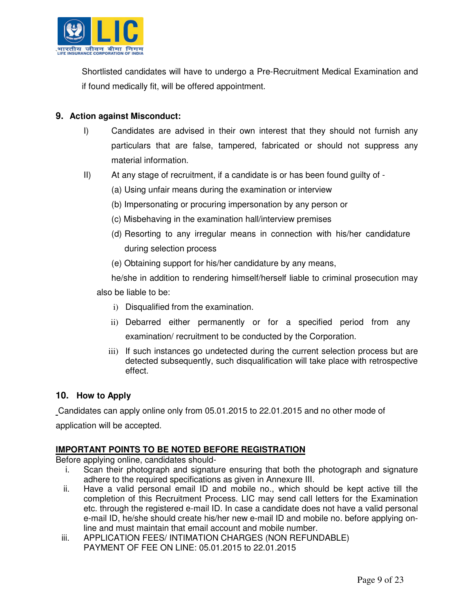

Shortlisted candidates will have to undergo a Pre-Recruitment Medical Examination and if found medically fit, will be offered appointment.

#### **9. Action against Misconduct:**

- I) Candidates are advised in their own interest that they should not furnish any particulars that are false, tampered, fabricated or should not suppress any material information.
- II) At any stage of recruitment, if a candidate is or has been found guilty of
	- (a) Using unfair means during the examination or interview
	- (b) Impersonating or procuring impersonation by any person or
	- (c) Misbehaving in the examination hall/interview premises
	- (d) Resorting to any irregular means in connection with his/her candidature during selection process
	- (e) Obtaining support for his/her candidature by any means,

he/she in addition to rendering himself/herself liable to criminal prosecution may also be liable to be:

- i) Disqualified from the examination.
- ii) Debarred either permanently or for a specified period from any examination/ recruitment to be conducted by the Corporation.
- iii) If such instances go undetected during the current selection process but are detected subsequently, such disqualification will take place with retrospective effect.

## **10. How to Apply**

Candidates can apply online only from 05.01.2015 to 22.01.2015 and no other mode of application will be accepted.

## **IMPORTANT POINTS TO BE NOTED BEFORE REGISTRATION**

Before applying online, candidates should-

- i. Scan their photograph and signature ensuring that both the photograph and signature adhere to the required specifications as given in Annexure III.
- ii. Have a valid personal email ID and mobile no., which should be kept active till the completion of this Recruitment Process. LIC may send call letters for the Examination etc. through the registered e-mail ID. In case a candidate does not have a valid personal e-mail ID, he/she should create his/her new e-mail ID and mobile no. before applying online and must maintain that email account and mobile number.
- iii. APPLICATION FEES/ INTIMATION CHARGES (NON REFUNDABLE) PAYMENT OF FEE ON LINE: 05.01.2015 to 22.01.2015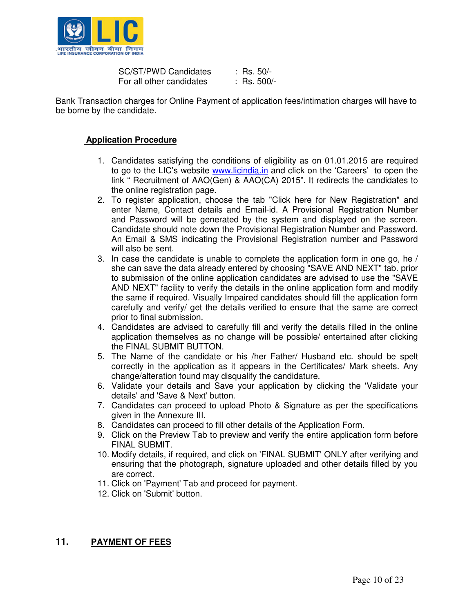

SC/ST/PWD Candidates : Rs. 50/-<br>For all other candidates : Rs. 500/-For all other candidates

Bank Transaction charges for Online Payment of application fees/intimation charges will have to be borne by the candidate.

#### **Application Procedure**

- 1. Candidates satisfying the conditions of eligibility as on 01.01.2015 are required to go to the LIC's website www.licindia.in and click on the 'Careers' to open the link " Recruitment of AAO(Gen) & AAO(CA) 2015". It redirects the candidates to the online registration page.
- 2. To register application, choose the tab "Click here for New Registration" and enter Name, Contact details and Email-id. A Provisional Registration Number and Password will be generated by the system and displayed on the screen. Candidate should note down the Provisional Registration Number and Password. An Email & SMS indicating the Provisional Registration number and Password will also be sent.
- 3. In case the candidate is unable to complete the application form in one go, he / she can save the data already entered by choosing "SAVE AND NEXT" tab. prior to submission of the online application candidates are advised to use the "SAVE AND NEXT" facility to verify the details in the online application form and modify the same if required. Visually Impaired candidates should fill the application form carefully and verify/ get the details verified to ensure that the same are correct prior to final submission.
- 4. Candidates are advised to carefully fill and verify the details filled in the online application themselves as no change will be possible/ entertained after clicking the FINAL SUBMIT BUTTON.
- 5. The Name of the candidate or his /her Father/ Husband etc. should be spelt correctly in the application as it appears in the Certificates/ Mark sheets. Any change/alteration found may disqualify the candidature.
- 6. Validate your details and Save your application by clicking the 'Validate your details' and 'Save & Next' button.
- 7. Candidates can proceed to upload Photo & Signature as per the specifications given in the Annexure III.
- 8. Candidates can proceed to fill other details of the Application Form.
- 9. Click on the Preview Tab to preview and verify the entire application form before FINAL SUBMIT.
- 10. Modify details, if required, and click on 'FINAL SUBMIT' ONLY after verifying and ensuring that the photograph, signature uploaded and other details filled by you are correct.
- 11. Click on 'Payment' Tab and proceed for payment.
- 12. Click on 'Submit' button.

## **11. PAYMENT OF FEES**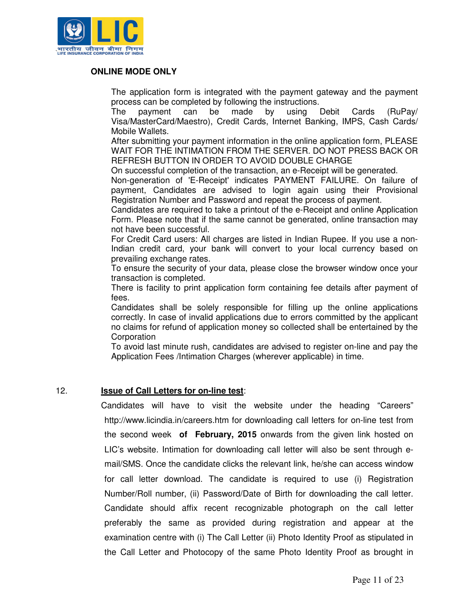

#### **ONLINE MODE ONLY**

 The application form is integrated with the payment gateway and the payment process can be completed by following the instructions.

 The payment can be made by using Debit Cards (RuPay/ Visa/MasterCard/Maestro), Credit Cards, Internet Banking, IMPS, Cash Cards/ Mobile Wallets.

 After submitting your payment information in the online application form, PLEASE WAIT FOR THE INTIMATION FROM THE SERVER. DO NOT PRESS BACK OR REFRESH BUTTON IN ORDER TO AVOID DOUBLE CHARGE

On successful completion of the transaction, an e-Receipt will be generated.

 Non-generation of 'E-Receipt' indicates PAYMENT FAILURE. On failure of payment, Candidates are advised to login again using their Provisional Registration Number and Password and repeat the process of payment.

 Candidates are required to take a printout of the e-Receipt and online Application Form. Please note that if the same cannot be generated, online transaction may not have been successful.

 For Credit Card users: All charges are listed in Indian Rupee. If you use a non-Indian credit card, your bank will convert to your local currency based on prevailing exchange rates.

 To ensure the security of your data, please close the browser window once your transaction is completed.

 There is facility to print application form containing fee details after payment of fees.

 Candidates shall be solely responsible for filling up the online applications correctly. In case of invalid applications due to errors committed by the applicant no claims for refund of application money so collected shall be entertained by the Corporation

 To avoid last minute rush, candidates are advised to register on-line and pay the Application Fees /Intimation Charges (wherever applicable) in time.

#### 12. **Issue of Call Letters for on-line test**:

Candidates will have to visit the website under the heading "Careers" http://www.licindia.in/careers.htm for downloading call letters for on-line test from the second week **of February, 2015** onwards from the given link hosted on LIC's website. Intimation for downloading call letter will also be sent through email/SMS. Once the candidate clicks the relevant link, he/she can access window for call letter download. The candidate is required to use (i) Registration Number/Roll number, (ii) Password/Date of Birth for downloading the call letter. Candidate should affix recent recognizable photograph on the call letter preferably the same as provided during registration and appear at the examination centre with (i) The Call Letter (ii) Photo Identity Proof as stipulated in the Call Letter and Photocopy of the same Photo Identity Proof as brought in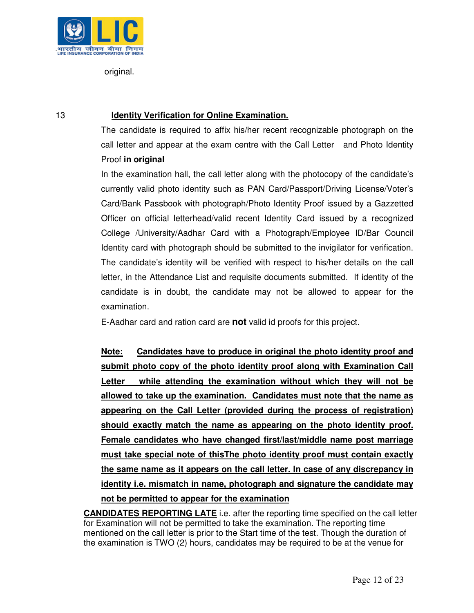

original.

## 13 **Identity Verification for Online Examination.**

The candidate is required to affix his/her recent recognizable photograph on the call letter and appear at the exam centre with the Call Letter and Photo Identity Proof **in original**

In the examination hall, the call letter along with the photocopy of the candidate's currently valid photo identity such as PAN Card/Passport/Driving License/Voter's Card/Bank Passbook with photograph/Photo Identity Proof issued by a Gazzetted Officer on official letterhead/valid recent Identity Card issued by a recognized College /University/Aadhar Card with a Photograph/Employee ID/Bar Council Identity card with photograph should be submitted to the invigilator for verification. The candidate's identity will be verified with respect to his/her details on the call letter, in the Attendance List and requisite documents submitted. If identity of the candidate is in doubt, the candidate may not be allowed to appear for the examination.

E-Aadhar card and ration card are **not** valid id proofs for this project.

**Note: Candidates have to produce in original the photo identity proof and submit photo copy of the photo identity proof along with Examination Call Letter while attending the examination without which they will not be allowed to take up the examination. Candidates must note that the name as appearing on the Call Letter (provided during the process of registration) should exactly match the name as appearing on the photo identity proof. Female candidates who have changed first/last/middle name post marriage must take special note of thisThe photo identity proof must contain exactly the same name as it appears on the call letter. In case of any discrepancy in identity i.e. mismatch in name, photograph and signature the candidate may not be permitted to appear for the examination**

**CANDIDATES REPORTING LATE** i.e. after the reporting time specified on the call letter for Examination will not be permitted to take the examination. The reporting time mentioned on the call letter is prior to the Start time of the test. Though the duration of the examination is TWO (2) hours, candidates may be required to be at the venue for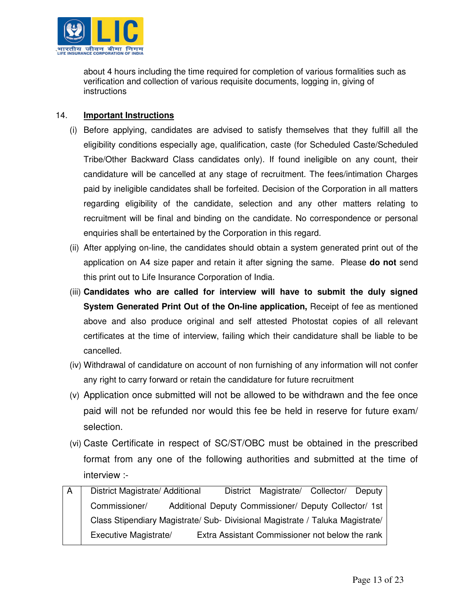

about 4 hours including the time required for completion of various formalities such as verification and collection of various requisite documents, logging in, giving of instructions

#### 14. **Important Instructions**

- (i) Before applying, candidates are advised to satisfy themselves that they fulfill all the eligibility conditions especially age, qualification, caste (for Scheduled Caste/Scheduled Tribe/Other Backward Class candidates only). If found ineligible on any count, their candidature will be cancelled at any stage of recruitment. The fees/intimation Charges paid by ineligible candidates shall be forfeited. Decision of the Corporation in all matters regarding eligibility of the candidate, selection and any other matters relating to recruitment will be final and binding on the candidate. No correspondence or personal enquiries shall be entertained by the Corporation in this regard.
- (ii) After applying on-line, the candidates should obtain a system generated print out of the application on A4 size paper and retain it after signing the same. Please **do not** send this print out to Life Insurance Corporation of India.
- (iii) **Candidates who are called for interview will have to submit the duly signed System Generated Print Out of the On-line application,** Receipt of fee as mentioned above and also produce original and self attested Photostat copies of all relevant certificates at the time of interview, failing which their candidature shall be liable to be cancelled.
- (iv) Withdrawal of candidature on account of non furnishing of any information will not confer any right to carry forward or retain the candidature for future recruitment
- (v) Application once submitted will not be allowed to be withdrawn and the fee once paid will not be refunded nor would this fee be held in reserve for future exam/ selection.
- (vi) Caste Certificate in respect of SC/ST/OBC must be obtained in the prescribed format from any one of the following authorities and submitted at the time of interview :-
- A District Magistrate/ Additional District Magistrate/ Collector/ Deputy Commissioner/ Additional Deputy Commissioner/ Deputy Collector/ 1st Class Stipendiary Magistrate/ Sub- Divisional Magistrate / Taluka Magistrate/ Executive Magistrate/ Extra Assistant Commissioner not below the rank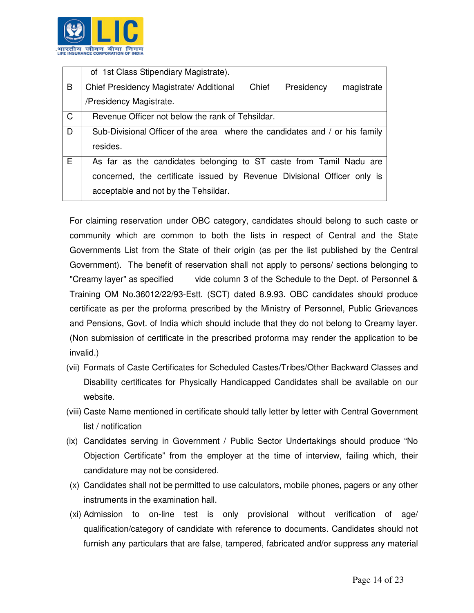

|              | of 1st Class Stipendiary Magistrate).                                        |
|--------------|------------------------------------------------------------------------------|
| B            | Chief<br>Presidency<br>Chief Presidency Magistrate/ Additional<br>magistrate |
|              | /Presidency Magistrate.                                                      |
| $\mathsf{C}$ | Revenue Officer not below the rank of Tehsildar.                             |
| D            | Sub-Divisional Officer of the area where the candidates and / or his family  |
|              | resides.                                                                     |
| E.           | As far as the candidates belonging to ST caste from Tamil Nadu are           |
|              | concerned, the certificate issued by Revenue Divisional Officer only is      |
|              | acceptable and not by the Tehsildar.                                         |

For claiming reservation under OBC category, candidates should belong to such caste or community which are common to both the lists in respect of Central and the State Governments List from the State of their origin (as per the list published by the Central Government). The benefit of reservation shall not apply to persons/ sections belonging to "Creamy layer" as specified vide column 3 of the Schedule to the Dept. of Personnel & Training OM No.36012/22/93-Estt. (SCT) dated 8.9.93. OBC candidates should produce certificate as per the proforma prescribed by the Ministry of Personnel, Public Grievances and Pensions, Govt. of India which should include that they do not belong to Creamy layer. (Non submission of certificate in the prescribed proforma may render the application to be invalid.)

- (vii) Formats of Caste Certificates for Scheduled Castes/Tribes/Other Backward Classes and Disability certificates for Physically Handicapped Candidates shall be available on our website.
- (viii) Caste Name mentioned in certificate should tally letter by letter with Central Government list / notification
- (ix) Candidates serving in Government / Public Sector Undertakings should produce "No Objection Certificate" from the employer at the time of interview, failing which, their candidature may not be considered.
- (x) Candidates shall not be permitted to use calculators, mobile phones, pagers or any other instruments in the examination hall.
- (xi) Admission to on-line test is only provisional without verification of age/ qualification/category of candidate with reference to documents. Candidates should not furnish any particulars that are false, tampered, fabricated and/or suppress any material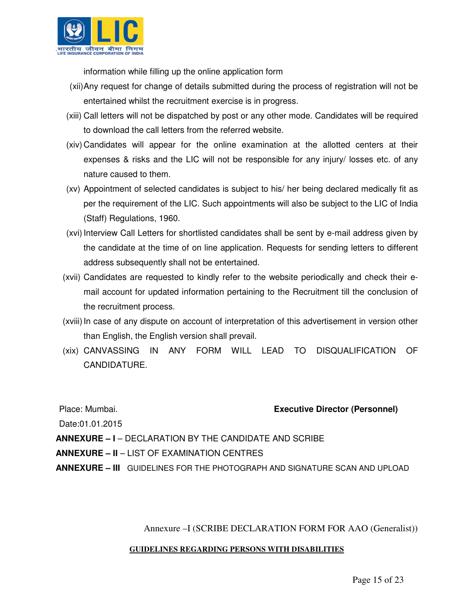

information while filling up the online application form

- (xii) Any request for change of details submitted during the process of registration will not be entertained whilst the recruitment exercise is in progress.
- (xiii) Call letters will not be dispatched by post or any other mode. Candidates will be required to download the call letters from the referred website.
- (xiv) Candidates will appear for the online examination at the allotted centers at their expenses & risks and the LIC will not be responsible for any injury/ losses etc. of any nature caused to them.
- (xv) Appointment of selected candidates is subject to his/ her being declared medically fit as per the requirement of the LIC. Such appointments will also be subject to the LIC of India (Staff) Regulations, 1960.
- (xvi) Interview Call Letters for shortlisted candidates shall be sent by e-mail address given by the candidate at the time of on line application. Requests for sending letters to different address subsequently shall not be entertained.
- (xvii) Candidates are requested to kindly refer to the website periodically and check their email account for updated information pertaining to the Recruitment till the conclusion of the recruitment process.
- (xviii) In case of any dispute on account of interpretation of this advertisement in version other than English, the English version shall prevail.
- (xix) CANVASSING IN ANY FORM WILL LEAD TO DISQUALIFICATION OF CANDIDATURE.

## Place: Mumbai. **Executive Director (Personnel)**

Date:01.01.2015

**ANNEXURE – I** – DECLARATION BY THE CANDIDATE AND SCRIBE

**ANNEXURE – II** – LIST OF EXAMINATION CENTRES

**ANNEXURE – III** GUIDELINES FOR THE PHOTOGRAPH AND SIGNATURE SCAN AND UPLOAD

Annexure –I (SCRIBE DECLARATION FORM FOR AAO (Generalist))

#### **GUIDELINES REGARDING PERSONS WITH DISABILITIES**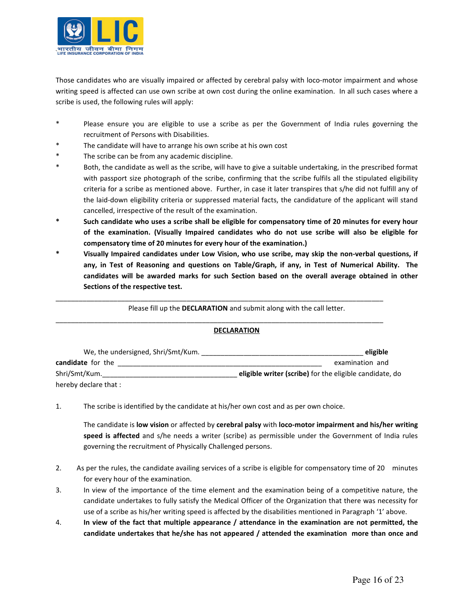

Those candidates who are visually impaired or affected by cerebral palsy with loco-motor impairment and whose writing speed is affected can use own scribe at own cost during the online examination. In all such cases where a scribe is used, the following rules will apply:

- Please ensure you are eligible to use a scribe as per the Government of India rules governing the recruitment of Persons with Disabilities.
- The candidate will have to arrange his own scribe at his own cost
- The scribe can be from any academic discipline.
- Both, the candidate as well as the scribe, will have to give a suitable undertaking, in the prescribed format with passport size photograph of the scribe, confirming that the scribe fulfils all the stipulated eligibility criteria for a scribe as mentioned above. Further, in case it later transpires that s/he did not fulfill any of the laid-down eligibility criteria or suppressed material facts, the candidature of the applicant will stand cancelled, irrespective of the result of the examination.
- \* Such candidate who uses a scribe shall be eligible for compensatory time of 20 minutes for every hour of the examination. (Visually Impaired candidates who do not use scribe will also be eligible for compensatory time of 20 minutes for every hour of the examination.)
- \* Visually Impaired candidates under Low Vision, who use scribe, may skip the non-verbal questions, if any, in Test of Reasoning and questions on Table/Graph, if any, in Test of Numerical Ability. The candidates will be awarded marks for such Section based on the overall average obtained in other Sections of the respective test.

Please fill up the DECLARATION and submit along with the call letter.

\_\_\_\_\_\_\_\_\_\_\_\_\_\_\_\_\_\_\_\_\_\_\_\_\_\_\_\_\_\_\_\_\_\_\_\_\_\_\_\_\_\_\_\_\_\_\_\_\_\_\_\_\_\_\_\_\_\_\_\_\_\_\_\_\_\_\_\_\_\_\_\_\_\_\_\_\_\_\_\_\_\_\_\_\_

\_\_\_\_\_\_\_\_\_\_\_\_\_\_\_\_\_\_\_\_\_\_\_\_\_\_\_\_\_\_\_\_\_\_\_\_\_\_\_\_\_\_\_\_\_\_\_\_\_\_\_\_\_\_\_\_\_\_\_\_\_\_\_\_\_\_\_\_\_\_\_\_\_\_\_\_\_\_\_\_\_\_\_\_\_

#### DECLARATION

| We, the undersigned, Shri/Smt/Kum. | eligible                                                |
|------------------------------------|---------------------------------------------------------|
| candidate for the                  | examination and                                         |
| Shri/Smt/Kum.                      | eligible writer (scribe) for the eligible candidate, do |
| hereby declare that:               |                                                         |

1. The scribe is identified by the candidate at his/her own cost and as per own choice.

The candidate is low vision or affected by cerebral palsy with loco-motor impairment and his/her writing speed is affected and s/he needs a writer (scribe) as permissible under the Government of India rules governing the recruitment of Physically Challenged persons.

- 2. As per the rules, the candidate availing services of a scribe is eligible for compensatory time of 20 minutes for every hour of the examination.
- 3. In view of the importance of the time element and the examination being of a competitive nature, the candidate undertakes to fully satisfy the Medical Officer of the Organization that there was necessity for use of a scribe as his/her writing speed is affected by the disabilities mentioned in Paragraph '1' above.
- 4. In view of the fact that multiple appearance / attendance in the examination are not permitted, the candidate undertakes that he/she has not appeared / attended the examination more than once and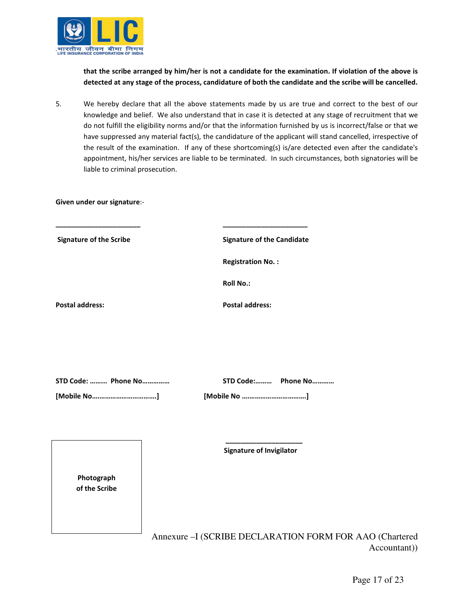

Given under our signature:-

Photograph of the Scribe

that the scribe arranged by him/her is not a candidate for the examination. If violation of the above is detected at any stage of the process, candidature of both the candidate and the scribe will be cancelled.

5. We hereby declare that all the above statements made by us are true and correct to the best of our knowledge and belief. We also understand that in case it is detected at any stage of recruitment that we do not fulfill the eligibility norms and/or that the information furnished by us is incorrect/false or that we have suppressed any material fact(s), the candidature of the applicant will stand cancelled, irrespective of the result of the examination. If any of these shortcoming(s) is/are detected even after the candidate's appointment, his/her services are liable to be terminated. In such circumstances, both signatories will be liable to criminal prosecution.

| <b>Signature of the Scribe</b> | <b>Signature of the Candidate</b> |
|--------------------------------|-----------------------------------|
|                                | <b>Registration No.:</b>          |
|                                | <b>Roll No.:</b>                  |
| <b>Postal address:</b>         | <b>Postal address:</b>            |
|                                |                                   |
|                                |                                   |
| STD Code:  Phone No            | STD Code: Phone No                |
| [Mobile No]                    |                                   |

Annexure –I (SCRIBE DECLARATION FORM FOR AAO (Chartered Accountant))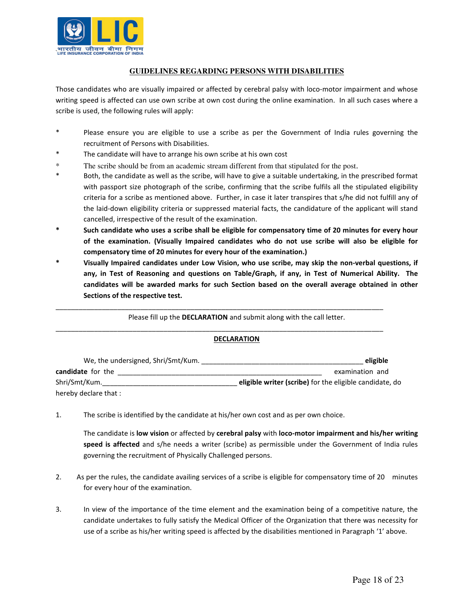

#### **GUIDELINES REGARDING PERSONS WITH DISABILITIES**

Those candidates who are visually impaired or affected by cerebral palsy with loco-motor impairment and whose writing speed is affected can use own scribe at own cost during the online examination. In all such cases where a scribe is used, the following rules will apply:

- \* Please ensure you are eligible to use a scribe as per the Government of India rules governing the recruitment of Persons with Disabilities.
- The candidate will have to arrange his own scribe at his own cost
- \* The scribe should be from an academic stream different from that stipulated for the post.
- Both, the candidate as well as the scribe, will have to give a suitable undertaking, in the prescribed format with passport size photograph of the scribe, confirming that the scribe fulfils all the stipulated eligibility criteria for a scribe as mentioned above. Further, in case it later transpires that s/he did not fulfill any of the laid-down eligibility criteria or suppressed material facts, the candidature of the applicant will stand cancelled, irrespective of the result of the examination.
- Such candidate who uses a scribe shall be eligible for compensatory time of 20 minutes for every hour of the examination. (Visually Impaired candidates who do not use scribe will also be eligible for compensatory time of 20 minutes for every hour of the examination.)
- Visually Impaired candidates under Low Vision, who use scribe, may skip the non-verbal questions, if any, in Test of Reasoning and questions on Table/Graph, if any, in Test of Numerical Ability. The candidates will be awarded marks for such Section based on the overall average obtained in other Sections of the respective test.

Please fill up the DECLARATION and submit along with the call letter.

\_\_\_\_\_\_\_\_\_\_\_\_\_\_\_\_\_\_\_\_\_\_\_\_\_\_\_\_\_\_\_\_\_\_\_\_\_\_\_\_\_\_\_\_\_\_\_\_\_\_\_\_\_\_\_\_\_\_\_\_\_\_\_\_\_\_\_\_\_\_\_\_\_\_\_\_\_\_\_\_\_\_\_\_\_

\_\_\_\_\_\_\_\_\_\_\_\_\_\_\_\_\_\_\_\_\_\_\_\_\_\_\_\_\_\_\_\_\_\_\_\_\_\_\_\_\_\_\_\_\_\_\_\_\_\_\_\_\_\_\_\_\_\_\_\_\_\_\_\_\_\_\_\_\_\_\_\_\_\_\_\_\_\_\_\_\_\_\_\_\_

#### DECLARATION

| We, the undersigned, Shri/Smt/Kum. | eligible                                                |
|------------------------------------|---------------------------------------------------------|
| candidate for the                  | examination and                                         |
| Shri/Smt/Kum.                      | eligible writer (scribe) for the eligible candidate, do |
| hereby declare that:               |                                                         |

1. The scribe is identified by the candidate at his/her own cost and as per own choice.

The candidate is low vision or affected by cerebral palsy with loco-motor impairment and his/her writing speed is affected and s/he needs a writer (scribe) as permissible under the Government of India rules governing the recruitment of Physically Challenged persons.

- 2. As per the rules, the candidate availing services of a scribe is eligible for compensatory time of 20 minutes for every hour of the examination.
- 3. In view of the importance of the time element and the examination being of a competitive nature, the candidate undertakes to fully satisfy the Medical Officer of the Organization that there was necessity for use of a scribe as his/her writing speed is affected by the disabilities mentioned in Paragraph '1' above.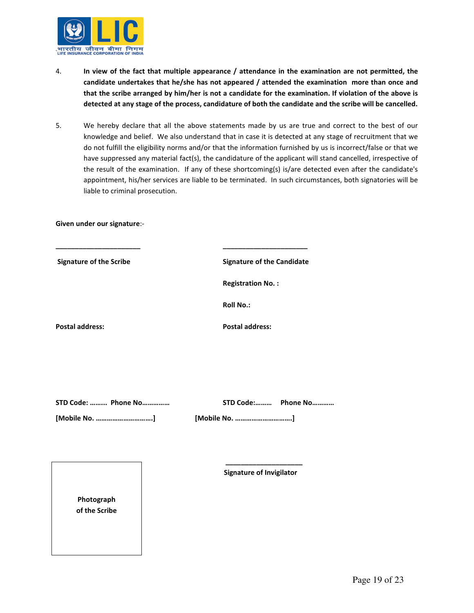

- 4. In view of the fact that multiple appearance / attendance in the examination are not permitted, the candidate undertakes that he/she has not appeared / attended the examination more than once and that the scribe arranged by him/her is not a candidate for the examination. If violation of the above is detected at any stage of the process, candidature of both the candidate and the scribe will be cancelled.
- 5. We hereby declare that all the above statements made by us are true and correct to the best of our knowledge and belief. We also understand that in case it is detected at any stage of recruitment that we do not fulfill the eligibility norms and/or that the information furnished by us is incorrect/false or that we have suppressed any material fact(s), the candidature of the applicant will stand cancelled, irrespective of the result of the examination. If any of these shortcoming(s) is/are detected even after the candidate's appointment, his/her services are liable to be terminated. In such circumstances, both signatories will be liable to criminal prosecution.

Given under our signature:-

| <b>Signature of the Scribe</b> | <b>Signature of the Candidate</b> |
|--------------------------------|-----------------------------------|
|                                | <b>Registration No.:</b>          |
|                                | <b>Roll No.:</b>                  |
| <b>Postal address:</b>         | <b>Postal address:</b>            |
|                                |                                   |
|                                |                                   |
|                                |                                   |

| STD Code:  Phone No |               | STD Code:       Phone No |
|---------------------|---------------|--------------------------|
| [Mobile No. ]       | [Mobile No. ] |                          |

Photograph of the Scribe Signature of Invigilator

 $\frac{1}{2}$  , and the set of the set of the set of the set of the set of the set of the set of the set of the set of the set of the set of the set of the set of the set of the set of the set of the set of the set of the set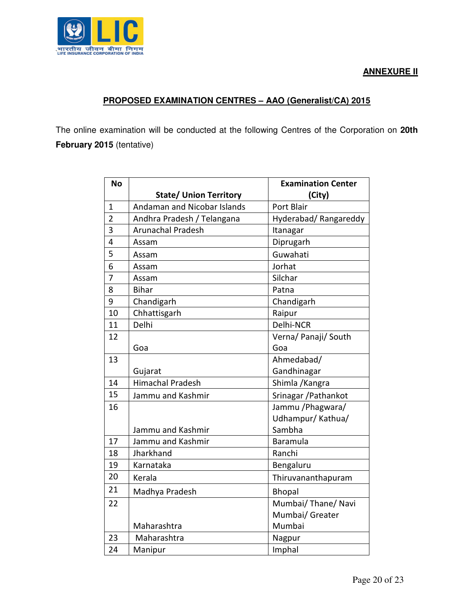



## **PROPOSED EXAMINATION CENTRES – AAO (Generalist/CA) 2015**

The online examination will be conducted at the following Centres of the Corporation on **20th February 2015** (tentative)

| <b>No</b>      |                                    | <b>Examination Center</b> |
|----------------|------------------------------------|---------------------------|
|                | <b>State/ Union Territory</b>      | (City)                    |
| 1              | <b>Andaman and Nicobar Islands</b> | Port Blair                |
| $\overline{2}$ | Andhra Pradesh / Telangana         | Hyderabad/Rangareddy      |
| 3              | <b>Arunachal Pradesh</b>           | Itanagar                  |
| 4              | Assam                              | Diprugarh                 |
| 5              | Assam                              | Guwahati                  |
| 6              | Assam                              | Jorhat                    |
| $\overline{7}$ | Assam                              | Silchar                   |
| 8              | <b>Bihar</b>                       | Patna                     |
| 9              | Chandigarh                         | Chandigarh                |
| 10             | Chhattisgarh                       | Raipur                    |
| 11             | Delhi                              | Delhi-NCR                 |
| 12             |                                    | Verna/ Panaji/ South      |
|                | Goa                                | Goa                       |
| 13             |                                    | Ahmedabad/                |
|                | Gujarat                            | Gandhinagar               |
| 14             | <b>Himachal Pradesh</b>            | Shimla / Kangra           |
| 15             | Jammu and Kashmir                  | Srinagar / Pathankot      |
| 16             |                                    | Jammu / Phagwara/         |
|                |                                    | Udhampur/Kathua/          |
|                | Jammu and Kashmir                  | Sambha                    |
| 17             | Jammu and Kashmir                  | Baramula                  |
| 18             | Jharkhand                          | Ranchi                    |
| 19             | Karnataka                          | Bengaluru                 |
| 20             | Kerala                             | Thiruvananthapuram        |
| 21             | Madhya Pradesh                     | <b>Bhopal</b>             |
| 22             |                                    | Mumbai/ Thane/ Navi       |
|                |                                    | Mumbai/ Greater           |
|                | Maharashtra                        | Mumbai                    |
| 23             | Maharashtra                        | Nagpur                    |
| 24             | Manipur                            | Imphal                    |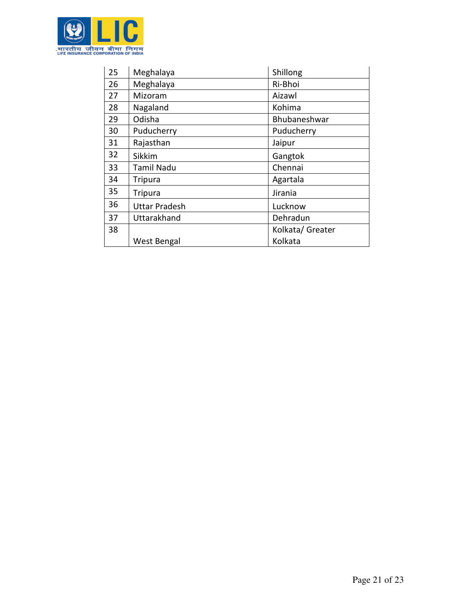

| 25 | Meghalaya            | Shillong         |
|----|----------------------|------------------|
| 26 | Meghalaya            | Ri-Bhoi          |
| 27 | Mizoram              | Aizawl           |
| 28 | Nagaland             | Kohima           |
| 29 | Odisha               | Bhubaneshwar     |
| 30 | Puducherry           | Puducherry       |
| 31 | Rajasthan            | Jaipur           |
| 32 | <b>Sikkim</b>        | Gangtok          |
| 33 | <b>Tamil Nadu</b>    | Chennai          |
| 34 | <b>Tripura</b>       | Agartala         |
| 35 | <b>Tripura</b>       | Jirania          |
| 36 | <b>Uttar Pradesh</b> | Lucknow          |
| 37 | Uttarakhand          | Dehradun         |
| 38 |                      | Kolkata/ Greater |
|    | West Bengal          | Kolkata          |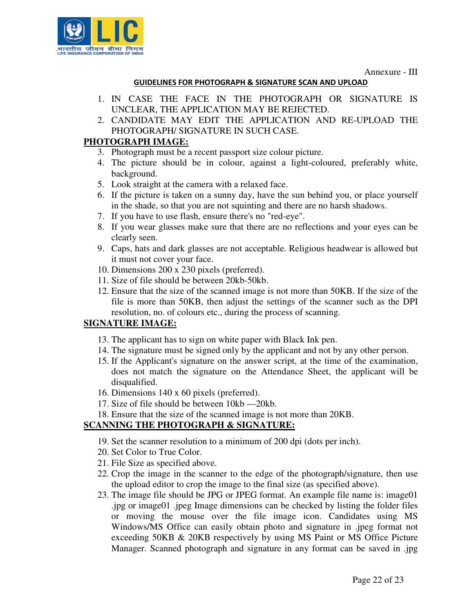Annexure - III



#### GUIDELINES FOR PHOTOGRAPH & SIGNATURE SCAN AND UPLOAD

- 1. IN CASE THE FACE IN THE PHOTOGRAPH OR SIGNATURE IS UNCLEAR, THE APPLICATION MAY BE REJECTED.
- 2. CANDIDATE MAY EDIT THE APPLICATION AND RE-UPLOAD THE PHOTOGRAPH/ SIGNATURE IN SUCH CASE.

# **PHOTOGRAPH IMAGE:**

- 3. Photograph must be a recent passport size colour picture.
- 4. The picture should be in colour, against a light-coloured, preferably white, background.
- 5. Look straight at the camera with a relaxed face.
- 6. If the picture is taken on a sunny day, have the sun behind you, or place yourself in the shade, so that you are not squinting and there are no harsh shadows.
- 7. If you have to use flash, ensure there's no "red-eye".
- 8. If you wear glasses make sure that there are no reflections and your eyes can be clearly seen.
- 9. Caps, hats and dark glasses are not acceptable. Religious headwear is allowed but it must not cover your face.
- 10. Dimensions 200 x 230 pixels (preferred).
- 11. Size of file should be between 20kb-50kb.
- 12. Ensure that the size of the scanned image is not more than 50KB. If the size of the file is more than 50KB, then adjust the settings of the scanner such as the DPI resolution, no. of colours etc., during the process of scanning.

## **SIGNATURE IMAGE:**

- 13. The applicant has to sign on white paper with Black Ink pen.
- 14. The signature must be signed only by the applicant and not by any other person.
- 15. If the Applicant's signature on the answer script, at the time of the examination, does not match the signature on the Attendance Sheet, the applicant will be disqualified.
- 16. Dimensions 140 x 60 pixels (preferred).
- 17. Size of file should be between 10kb —20kb.
- 18. Ensure that the size of the scanned image is not more than 20KB.

## **SCANNING THE PHOTOGRAPH & SIGNATURE:**

- 19. Set the scanner resolution to a minimum of 200 dpi (dots per inch).
- 20. Set Color to True Color.
- 21. File Size as specified above.
- 22. Crop the image in the scanner to the edge of the photograph/signature, then use the upload editor to crop the image to the final size (as specified above).
- 23. The image file should be JPG or JPEG format. An example file name is: image01 .jpg or image01 .jpeg Image dimensions can be checked by listing the folder files or moving the mouse over the file image icon. Candidates using MS Windows/MS Office can easily obtain photo and signature in .jpeg format not exceeding 50KB & 20KB respectively by using MS Paint or MS Office Picture Manager. Scanned photograph and signature in any format can be saved in .jpg